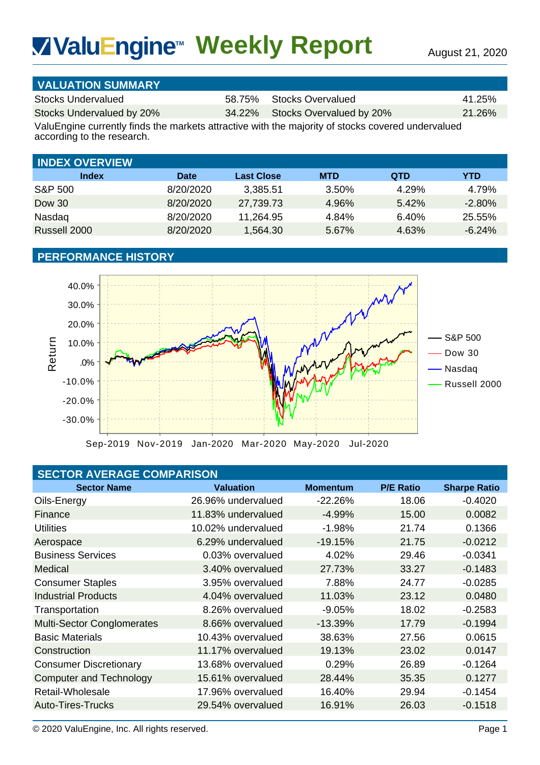# **Weekly Report** August 21, 2020 **TM**

| <b>VALUATION SUMMARY</b>  |                                 |           |
|---------------------------|---------------------------------|-----------|
| Stocks Undervalued        | 58.75% Stocks Overvalued        | 41.25%    |
| Stocks Undervalued by 20% | 34.22% Stocks Overvalued by 20% | $21.26\%$ |

| <b>INDEX OVERVIEW</b> |             |                   |            |            |           |
|-----------------------|-------------|-------------------|------------|------------|-----------|
| Index                 | <b>Date</b> | <b>Last Close</b> | <b>MTD</b> | <b>QTD</b> | YTD       |
| S&P 500               | 8/20/2020   | 3,385.51          | 3.50%      | 4.29%      | 4.79%     |
| Dow 30                | 8/20/2020   | 27,739.73         | 4.96%      | 5.42%      | $-2.80\%$ |
| Nasdag                | 8/20/2020   | 11,264.95         | 4.84%      | 6.40%      | 25.55%    |
| Russell 2000          | 8/20/2020   | 1,564.30          | 5.67%      | 4.63%      | $-6.24\%$ |

# **PERFORMANCE HISTORY**



|  | <b>SECTOR AVERAGE COMPARISON</b> |
|--|----------------------------------|
|  |                                  |
|  |                                  |

| <b>WaluEngine<sup>™</sup> Weekly Report</b>                                                                                     |             |                    |                                                       |                  | August 21, 2020     |
|---------------------------------------------------------------------------------------------------------------------------------|-------------|--------------------|-------------------------------------------------------|------------------|---------------------|
|                                                                                                                                 |             |                    |                                                       |                  |                     |
| <b>VALUATION SUMMARY</b>                                                                                                        |             |                    |                                                       |                  |                     |
| <b>Stocks Undervalued</b>                                                                                                       |             | 58.75%             | <b>Stocks Overvalued</b>                              |                  | 41.25%              |
| Stocks Undervalued by 20%                                                                                                       |             | 34.22%             | Stocks Overvalued by 20%                              |                  | 21.26%              |
| ValuEngine currently finds the markets attractive with the majority of stocks covered undervalued<br>according to the research. |             |                    |                                                       |                  |                     |
|                                                                                                                                 |             |                    |                                                       |                  |                     |
| <b>INDEX OVERVIEW</b>                                                                                                           |             |                    |                                                       |                  |                     |
| <b>Index</b>                                                                                                                    | <b>Date</b> | <b>Last Close</b>  | <b>MTD</b>                                            | <b>QTD</b>       | <b>YTD</b>          |
| <b>S&amp;P 500</b>                                                                                                              | 8/20/2020   | 3,385.51           | 3.50%                                                 | 4.29%            | 4.79%               |
| <b>Dow 30</b>                                                                                                                   | 8/20/2020   | 27,739.73          | 4.96%                                                 | 5.42%            | $-2.80%$            |
| Nasdaq                                                                                                                          | 8/20/2020   | 11,264.95          | 4.84%                                                 | 6.40%            | 25.55%              |
| Russell 2000                                                                                                                    | 8/20/2020   | 1,564.30           | 5.67%                                                 | 4.63%            | $-6.24%$            |
| <b>PERFORMANCE HISTORY</b>                                                                                                      |             |                    |                                                       |                  |                     |
|                                                                                                                                 |             |                    |                                                       |                  |                     |
| 40.0%                                                                                                                           |             |                    |                                                       |                  |                     |
|                                                                                                                                 |             |                    |                                                       |                  |                     |
| 30.0%                                                                                                                           |             |                    |                                                       |                  |                     |
| 20.0%                                                                                                                           |             |                    |                                                       |                  |                     |
| 10.0%                                                                                                                           |             |                    |                                                       |                  | S&P 500             |
| Return                                                                                                                          |             |                    |                                                       |                  | <b>Dow 30</b>       |
| .0%                                                                                                                             |             |                    |                                                       |                  | Nasdaq              |
| $-10.0%$                                                                                                                        |             |                    |                                                       |                  | Russell 2000        |
| $-20.0%$                                                                                                                        |             |                    |                                                       |                  |                     |
|                                                                                                                                 |             |                    |                                                       |                  |                     |
| $-30.0%$                                                                                                                        |             |                    |                                                       |                  |                     |
|                                                                                                                                 |             |                    | Sep-2019 Nov-2019 Jan-2020 Mar-2020 May-2020 Jul-2020 |                  |                     |
|                                                                                                                                 |             |                    |                                                       |                  |                     |
| <b>SECTOR AVERAGE COMPARISON</b>                                                                                                |             |                    |                                                       |                  |                     |
| <b>Sector Name</b>                                                                                                              |             | <b>Valuation</b>   | <b>Momentum</b>                                       | <b>P/E Ratio</b> | <b>Sharpe Ratio</b> |
| Oils-Energy                                                                                                                     |             | 26.96% undervalued | $-22.26%$                                             | 18.06            | $-0.4020$           |
| Finance                                                                                                                         |             | 11.83% undervalued | $-4.99%$                                              | 15.00            | 0.0082              |
| <b>Utilities</b>                                                                                                                |             | 10.02% undervalued | $-1.98%$                                              | 21.74            | 0.1366              |
| Aerospace                                                                                                                       |             | 6.29% undervalued  | $-19.15%$                                             | 21.75            | $-0.0212$           |
| <b>Business Services</b>                                                                                                        |             | 0.03% overvalued   | 4.02%                                                 | 29.46            | $-0.0341$           |
| Medical                                                                                                                         |             | 3.40% overvalued   | 27.73%                                                | 33.27            | $-0.1483$           |
| <b>Consumer Staples</b>                                                                                                         |             | 3.95% overvalued   | 7.88%                                                 | 24.77            | $-0.0285$           |
| <b>Industrial Products</b>                                                                                                      |             | 4.04% overvalued   | 11.03%                                                | 23.12            | 0.0480              |
| Transportation                                                                                                                  |             | 8.26% overvalued   | $-9.05%$                                              | 18.02            | $-0.2583$           |
| <b>Multi-Sector Conglomerates</b>                                                                                               |             | 8.66% overvalued   | $-13.39%$                                             | 17.79            | $-0.1994$           |
| <b>Basic Materials</b>                                                                                                          |             | 10.43% overvalued  | 38.63%                                                | 27.56            | 0.0615              |
| Construction                                                                                                                    |             | 11.17% overvalued  | 19.13%                                                | 23.02            | 0.0147              |
| <b>Consumer Discretionary</b>                                                                                                   |             | 13.68% overvalued  | 0.29%                                                 | 26.89            | $-0.1264$           |
| <b>Computer and Technology</b>                                                                                                  |             | 15.61% overvalued  | 28.44%                                                | 35.35            | 0.1277              |
| Retail-Wholesale                                                                                                                |             | 17.96% overvalued  | 16.40%                                                | 29.94            | $-0.1454$           |
| <b>Auto-Tires-Trucks</b>                                                                                                        |             | 29.54% overvalued  | 16.91%                                                | 26.03            | $-0.1518$           |
| © 2020 ValuEngine, Inc. All rights reserved.                                                                                    |             |                    |                                                       |                  | Page 1              |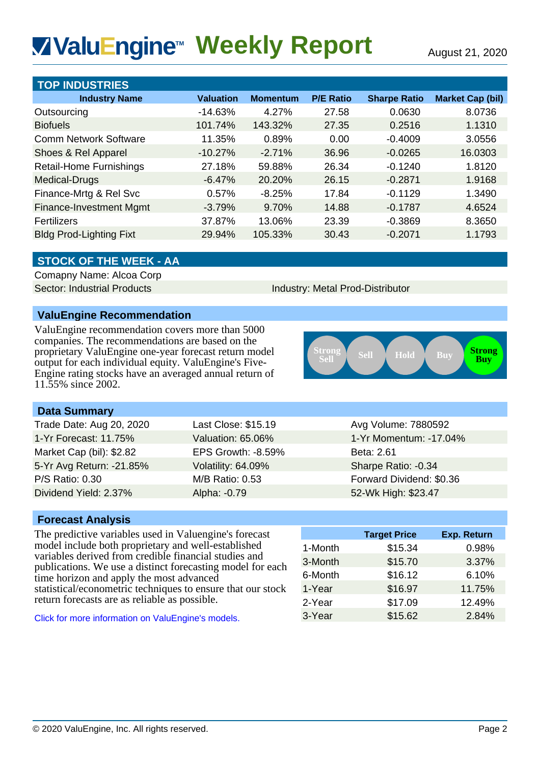# **Weekly Report** August 21, 2020 **TM**

| <b>VivaluEngine™ Weekly Report</b>                                                                                                                                                                                                                                                                   |                               |                          |                                  |                          | August 21, 2020                    |
|------------------------------------------------------------------------------------------------------------------------------------------------------------------------------------------------------------------------------------------------------------------------------------------------------|-------------------------------|--------------------------|----------------------------------|--------------------------|------------------------------------|
|                                                                                                                                                                                                                                                                                                      |                               |                          |                                  |                          |                                    |
| <b>TOP INDUSTRIES</b><br><b>Industry Name</b>                                                                                                                                                                                                                                                        |                               |                          | <b>P/E Ratio</b>                 | <b>Sharpe Ratio</b>      |                                    |
|                                                                                                                                                                                                                                                                                                      | <b>Valuation</b><br>$-14.63%$ | <b>Momentum</b><br>4.27% | 27.58                            | 0.0630                   | <b>Market Cap (bil)</b><br>8.0736  |
| Outsourcing<br><b>Biofuels</b>                                                                                                                                                                                                                                                                       | 101.74%                       | 143.32%                  | 27.35                            | 0.2516                   | 1.1310                             |
| <b>Comm Network Software</b>                                                                                                                                                                                                                                                                         | 11.35%                        | 0.89%                    | 0.00                             | $-0.4009$                | 3.0556                             |
| Shoes & Rel Apparel                                                                                                                                                                                                                                                                                  | $-10.27%$                     | $-2.71%$                 | 36.96                            | $-0.0265$                | 16.0303                            |
| <b>Retail-Home Furnishings</b>                                                                                                                                                                                                                                                                       | 27.18%                        | 59.88%                   | 26.34                            | $-0.1240$                | 1.8120                             |
| Medical-Drugs                                                                                                                                                                                                                                                                                        | $-6.47%$                      | 20.20%                   | 26.15                            | $-0.2871$                | 1.9168                             |
| Finance-Mrtg & Rel Svc                                                                                                                                                                                                                                                                               | 0.57%                         | $-8.25%$                 | 17.84                            | $-0.1129$                | 1.3490                             |
| <b>Finance-Investment Mgmt</b>                                                                                                                                                                                                                                                                       | $-3.79%$                      | 9.70%                    | 14.88                            | $-0.1787$                | 4.6524                             |
| Fertilizers                                                                                                                                                                                                                                                                                          | 37.87%                        | 13.06%                   | 23.39                            | $-0.3869$                | 8.3650                             |
| <b>Bldg Prod-Lighting Fixt</b>                                                                                                                                                                                                                                                                       | 29.94%                        | 105.33%                  | 30.43                            | $-0.2071$                | 1.1793                             |
|                                                                                                                                                                                                                                                                                                      |                               |                          |                                  |                          |                                    |
| <b>STOCK OF THE WEEK - AA</b>                                                                                                                                                                                                                                                                        |                               |                          |                                  |                          |                                    |
| Comapny Name: Alcoa Corp                                                                                                                                                                                                                                                                             |                               |                          |                                  |                          |                                    |
| <b>Sector: Industrial Products</b>                                                                                                                                                                                                                                                                   |                               |                          | Industry: Metal Prod-Distributor |                          |                                    |
| <b>ValuEngine Recommendation</b>                                                                                                                                                                                                                                                                     |                               |                          |                                  |                          |                                    |
| ValuEngine recommendation covers more than 5000<br>companies. The recommendations are based on the<br>proprietary ValuEngine one-year forecast return model<br>output for each individual equity. ValuEngine's Five-<br>Engine rating stocks have an averaged annual return of<br>11.55% since 2002. |                               |                          | <b>Strong<br/>Sell</b>           | Sell<br>Hold             | <b>Strong</b><br>Buy<br><b>Buy</b> |
| <b>Data Summary</b>                                                                                                                                                                                                                                                                                  |                               |                          |                                  |                          |                                    |
| Trade Date: Aug 20, 2020                                                                                                                                                                                                                                                                             | Last Close: \$15.19           |                          |                                  | Avg Volume: 7880592      |                                    |
| 1-Yr Forecast: 11.75%                                                                                                                                                                                                                                                                                | Valuation: 65.06%             |                          | 1-Yr Momentum: -17.04%           |                          |                                    |
| Market Cap (bil): \$2.82                                                                                                                                                                                                                                                                             | EPS Growth: -8.59%            |                          | Beta: 2.61                       |                          |                                    |
| 5-Yr Avg Return: -21.85%                                                                                                                                                                                                                                                                             | Volatility: 64.09%            |                          |                                  | Sharpe Ratio: -0.34      |                                    |
| P/S Ratio: 0.30                                                                                                                                                                                                                                                                                      | M/B Ratio: 0.53               |                          |                                  | Forward Dividend: \$0.36 |                                    |
| Dividend Yield: 2.37%                                                                                                                                                                                                                                                                                | Alpha: -0.79                  |                          |                                  | 52-Wk High: \$23.47      |                                    |
|                                                                                                                                                                                                                                                                                                      |                               |                          |                                  |                          |                                    |
| <b>Forecast Analysis</b><br>The predictive variables used in Valuengine's forecast                                                                                                                                                                                                                   |                               |                          |                                  | <b>Target Price</b>      | Exp. Return                        |
| model include both proprietary and well-established                                                                                                                                                                                                                                                  |                               |                          | 1-Month                          | \$15.34                  | 0.98%                              |
| variables derived from credible financial studies and                                                                                                                                                                                                                                                |                               |                          | 3-Month                          | \$15.70                  | 3.37%                              |
| publications. We use a distinct forecasting model for each                                                                                                                                                                                                                                           |                               |                          | 6-Month                          | \$16.12                  | 6.10%                              |
| time horizon and apply the most advanced<br>statistical/econometric techniques to ensure that our stock                                                                                                                                                                                              |                               |                          | 1-Year                           | \$16.97                  | 11.75%                             |
| return forecasts are as reliable as possible.                                                                                                                                                                                                                                                        |                               |                          | 2-Year                           | \$17.09                  | 12.49%                             |
| Click for more information on ValuEngine's models.                                                                                                                                                                                                                                                   |                               |                          | 3-Year                           | \$15.62                  | 2.84%                              |
|                                                                                                                                                                                                                                                                                                      |                               |                          |                                  |                          |                                    |
| © 2020 ValuEngine, Inc. All rights reserved.                                                                                                                                                                                                                                                         |                               |                          |                                  |                          | Page 2                             |

## **STOCK OF THE WEEK - AA**

# **ValuEngine Recommendation**



## **Data Summary**

| Trade Date: Aug 20, 2020 | Last Close: \$15.19 | Avg Volume: 7880592      |
|--------------------------|---------------------|--------------------------|
| 1-Yr Forecast: 11.75%    | Valuation: 65.06%   | 1-Yr Momentum: -17.04%   |
| Market Cap (bil): \$2.82 | EPS Growth: -8.59%  | Beta: 2.61               |
| 5-Yr Avg Return: -21.85% | Volatility: 64.09%  | Sharpe Ratio: -0.34      |
| P/S Ratio: 0.30          | M/B Ratio: 0.53     | Forward Dividend: \$0.36 |
| Dividend Yield: 2.37%    | Alpha: -0.79        | 52-Wk High: \$23.47      |

### **Forecast Analysis**

|         | <b>Target Price</b> | Exp. Return |
|---------|---------------------|-------------|
| 1-Month | \$15.34             | 0.98%       |
| 3-Month | \$15.70             | 3.37%       |
| 6-Month | \$16.12             | 6.10%       |
| 1-Year  | \$16.97             | 11.75%      |
| 2-Year  | \$17.09             | 12.49%      |
| 3-Year  | \$15.62             | 2.84%       |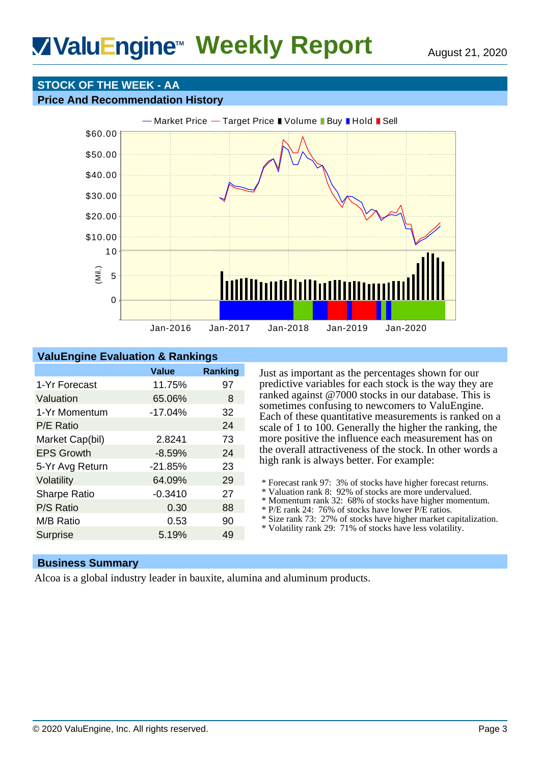# ValuEngine<sup>™</sup> Weekly Report **August 21, 2020**

# **STOCK OF THE WEEK - AA**

### **Price And Recommendation History**



# **ValuEngine Evaluation & Rankings**

|                     | Value     | <b>Ranking</b> |
|---------------------|-----------|----------------|
| 1-Yr Forecast       | 11.75%    | 97             |
| Valuation           | 65.06%    | 8              |
| 1-Yr Momentum       | $-17.04%$ | 32             |
| P/E Ratio           |           | 24             |
| Market Cap(bil)     | 2.8241    | 73             |
| <b>EPS Growth</b>   | $-8.59%$  | 24             |
| 5-Yr Avg Return     | $-21.85%$ | 23             |
| Volatility          | 64.09%    | 29             |
| <b>Sharpe Ratio</b> | $-0.3410$ | 27             |
| P/S Ratio           | 0.30      | 88             |
| M/B Ratio           | 0.53      | 90             |
| <b>Surprise</b>     | 5.19%     | 49             |

Just as important as the percentages shown for our predictive variables for each stock is the way they are ranked against @7000 stocks in our database. This is sometimes confusing to newcomers to ValuEngine. Each of these quantitative measurements is ranked on a scale of 1 to 100. Generally the higher the ranking, the more positive the influence each measurement has on the overall attractiveness of the stock. In other words a high rank is always better. For example:

- \* Forecast rank 97: 3% of stocks have higher forecast returns.
- \* Valuation rank 8: 92% of stocks are more undervalued.
- \* Momentum rank 32: 68% of stocks have higher momentum.
- \* P/E rank 24: 76% of stocks have lower P/E ratios.
- \* Size rank 73: 27% of stocks have higher market capitalization.
- \* Volatility rank 29: 71% of stocks have less volatility.

## **Business Summary**

Alcoa is a global industry leader in bauxite, alumina and aluminum products.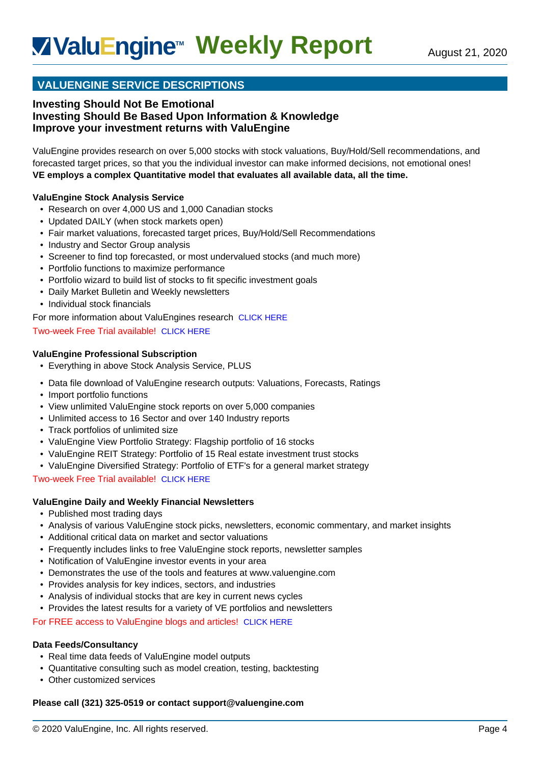# **VALUENGINE SERVICE DESCRIPTIONS**

## **Investing Should Not Be Emotional Investing Should Be Based Upon Information & Knowledge Improve your investment returns with ValuEngine**

ValuEngine provides research on over 5,000 stocks with stock valuations, Buy/Hold/Sell recommendations, and forecasted target prices, so that you the individual investor can make informed decisions, not emotional ones! **VE employs a complex Quantitative model that evaluates all available data, all the time.**

### **ValuEngine Stock Analysis Service**

- Research on over 4,000 US and 1,000 Canadian stocks
- Updated DAILY (when stock markets open)
- Fair market valuations, forecasted target prices, Buy/Hold/Sell Recommendations
- Industry and Sector Group analysis
- Screener to find top forecasted, or most undervalued stocks (and much more)
- Portfolio functions to maximize performance
- Portfolio wizard to build list of stocks to fit specific investment goals
- Daily Market Bulletin and Weekly newsletters
- Individual stock financials
- For more information about ValuEngines research [CLICK HERE](http://www.valuengine.com/pub/main?p=32)

#### Two-week Free Trial available! [CLICK HERE](http://www.valuengine.com/pub/VeSubscribeInfo?t=A)

#### **ValuEngine Professional Subscription**

- Everything in above Stock Analysis Service, PLUS
- Data file download of ValuEngine research outputs: Valuations, Forecasts, Ratings
- Import portfolio functions
- View unlimited ValuEngine stock reports on over 5,000 companies
- Unlimited access to 16 Sector and over 140 Industry reports
- Track portfolios of unlimited size
- ValuEngine View Portfolio Strategy: Flagship portfolio of 16 stocks
- ValuEngine REIT Strategy: Portfolio of 15 Real estate investment trust stocks
- ValuEngine Diversified Strategy: Portfolio of ETF's for a general market strategy

Two-week Free Trial available! [CLICK HERE](http://www.valuengine.com/pub/VeSubscribeInfo?t=Z)

#### **ValuEngine Daily and Weekly Financial Newsletters**

- Published most trading days
- Analysis of various ValuEngine stock picks, newsletters, economic commentary, and market insights
- Additional critical data on market and sector valuations
- Frequently includes links to free ValuEngine stock reports, newsletter samples
- Notification of ValuEngine investor events in your area
- Demonstrates the use of the tools and features at www.valuengine.com
- Provides analysis for key indices, sectors, and industries
- Analysis of individual stocks that are key in current news cycles
- Provides the latest results for a variety of VE portfolios and newsletters

For FREE access to ValuEngine blogs and articles! [CLICK HERE](http://blog.valuengine.com/index.php/blog/)

#### **Data Feeds/Consultancy**

- Real time data feeds of ValuEngine model outputs
- Quantitative consulting such as model creation, testing, backtesting
- Other customized services

#### **Please call (321) 325-0519 or contact support@valuengine.com**